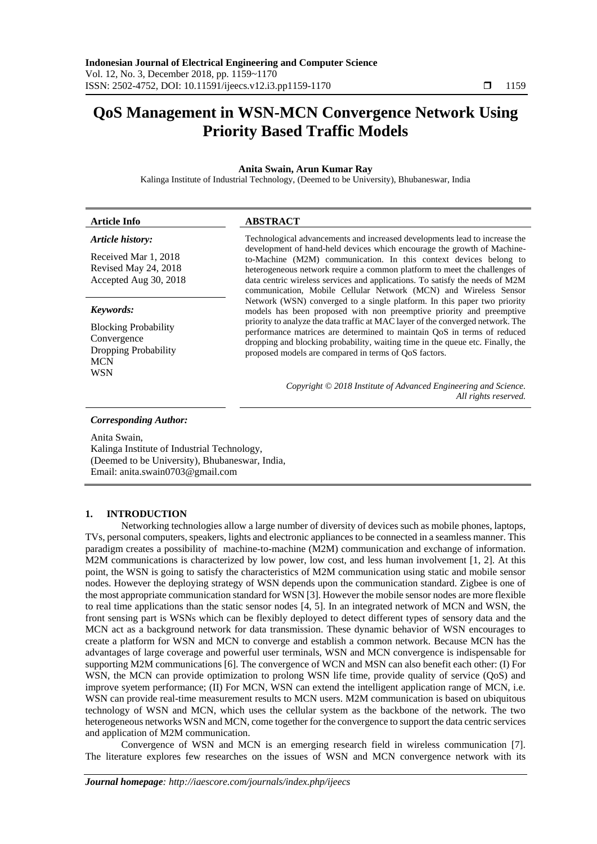# **QoS Management in WSN-MCN Convergence Network Using Priority Based Traffic Models**

## **Anita Swain, Arun Kumar Ray**

Kalinga Institute of Industrial Technology, (Deemed to be University), Bhubaneswar, India

| <b>Article Info</b>                                                                            | <b>ABSTRACT</b>                                                                                                                                                                                                                                                                                                                                                                                                                                                                                                                                                                                                                                                                                                                                                                                                                                                                                                          |
|------------------------------------------------------------------------------------------------|--------------------------------------------------------------------------------------------------------------------------------------------------------------------------------------------------------------------------------------------------------------------------------------------------------------------------------------------------------------------------------------------------------------------------------------------------------------------------------------------------------------------------------------------------------------------------------------------------------------------------------------------------------------------------------------------------------------------------------------------------------------------------------------------------------------------------------------------------------------------------------------------------------------------------|
| Article history:                                                                               | Technological advancements and increased developments lead to increase the<br>development of hand-held devices which encourage the growth of Machine-<br>to-Machine (M2M) communication. In this context devices belong to<br>heterogeneous network require a common platform to meet the challenges of<br>data centric wireless services and applications. To satisfy the needs of M2M<br>communication, Mobile Cellular Network (MCN) and Wireless Sensor<br>Network (WSN) converged to a single platform. In this paper two priority<br>models has been proposed with non preemptive priority and preemptive<br>priority to analyze the data traffic at MAC layer of the converged network. The<br>performance matrices are determined to maintain QoS in terms of reduced<br>dropping and blocking probability, waiting time in the queue etc. Finally, the<br>proposed models are compared in terms of QoS factors. |
| Received Mar 1, 2018<br>Revised May 24, 2018<br>Accepted Aug 30, 2018                          |                                                                                                                                                                                                                                                                                                                                                                                                                                                                                                                                                                                                                                                                                                                                                                                                                                                                                                                          |
| Keywords:                                                                                      |                                                                                                                                                                                                                                                                                                                                                                                                                                                                                                                                                                                                                                                                                                                                                                                                                                                                                                                          |
| <b>Blocking Probability</b><br>Convergence<br>Dropping Probability<br><b>MCN</b><br><b>WSN</b> |                                                                                                                                                                                                                                                                                                                                                                                                                                                                                                                                                                                                                                                                                                                                                                                                                                                                                                                          |
|                                                                                                | Copyright © 2018 Institute of Advanced Engineering and Science.<br>All rights reserved.                                                                                                                                                                                                                                                                                                                                                                                                                                                                                                                                                                                                                                                                                                                                                                                                                                  |
| <b>Corresponding Author:</b><br>Anita Swain.                                                   |                                                                                                                                                                                                                                                                                                                                                                                                                                                                                                                                                                                                                                                                                                                                                                                                                                                                                                                          |
|                                                                                                |                                                                                                                                                                                                                                                                                                                                                                                                                                                                                                                                                                                                                                                                                                                                                                                                                                                                                                                          |

Kalinga Institute of Industrial Technology, (Deemed to be University), Bhubaneswar, India, Email: anita.swain0703@gmail.com

#### **1. INTRODUCTION**

Networking technologies allow a large number of diversity of devices such as mobile phones, laptops, TVs, personal computers, speakers, lights and electronic appliances to be connected in a seamless manner. This paradigm creates a possibility of machine-to-machine (M2M) communication and exchange of information. M2M communications is characterized by low power, low cost, and less human involvement [1, 2]. At this point, the WSN is going to satisfy the characteristics of M2M communication using static and mobile sensor nodes. However the deploying strategy of WSN depends upon the communication standard. Zigbee is one of the most appropriate communication standard for WSN [3]. However the mobile sensor nodes are more flexible to real time applications than the static sensor nodes [4, 5]. In an integrated network of MCN and WSN, the front sensing part is WSNs which can be flexibly deployed to detect different types of sensory data and the MCN act as a background network for data transmission. These dynamic behavior of WSN encourages to create a platform for WSN and MCN to converge and establish a common network. Because MCN has the advantages of large coverage and powerful user terminals, WSN and MCN convergence is indispensable for supporting M2M communications [6]. The convergence of WCN and MSN can also benefit each other: (I) For WSN, the MCN can provide optimization to prolong WSN life time, provide quality of service (QoS) and improve syetem performance; (II) For MCN, WSN can extend the intelligent application range of MCN, i.e. WSN can provide real-time measurement results to MCN users. M2M communication is based on ubiquitous technology of WSN and MCN, which uses the cellular system as the backbone of the network. The two heterogeneous networks WSN and MCN, come together for the convergence to support the data centric services and application of M2M communication.

Convergence of WSN and MCN is an emerging research field in wireless communication [7]. The literature explores few researches on the issues of WSN and MCN convergence network with its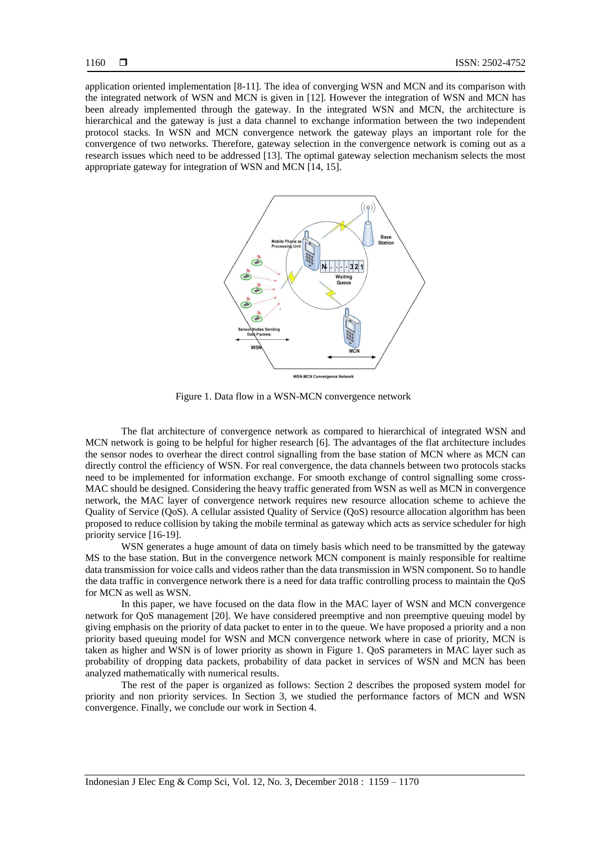application oriented implementation [8-11]. The idea of converging WSN and MCN and its comparison with the integrated network of WSN and MCN is given in [12]. However the integration of WSN and MCN has been already implemented through the gateway. In the integrated WSN and MCN, the architecture is hierarchical and the gateway is just a data channel to exchange information between the two independent protocol stacks. In WSN and MCN convergence network the gateway plays an important role for the convergence of two networks. Therefore, gateway selection in the convergence network is coming out as a research issues which need to be addressed [13]. The optimal gateway selection mechanism selects the most appropriate gateway for integration of WSN and MCN [14, 15].



Figure 1. Data flow in a WSN-MCN convergence network

The flat architecture of convergence network as compared to hierarchical of integrated WSN and MCN network is going to be helpful for higher research [6]. The advantages of the flat architecture includes the sensor nodes to overhear the direct control signalling from the base station of MCN where as MCN can directly control the efficiency of WSN. For real convergence, the data channels between two protocols stacks need to be implemented for information exchange. For smooth exchange of control signalling some cross-MAC should be designed. Considering the heavy traffic generated from WSN as well as MCN in convergence network, the MAC layer of convergence network requires new resource allocation scheme to achieve the Quality of Service (QoS). A cellular assisted Quality of Service (QoS) resource allocation algorithm has been proposed to reduce collision by taking the mobile terminal as gateway which acts as service scheduler for high priority service [16-19].

WSN generates a huge amount of data on timely basis which need to be transmitted by the gateway MS to the base station. But in the convergence network MCN component is mainly responsible for realtime data transmission for voice calls and videos rather than the data transmission in WSN component. So to handle the data traffic in convergence network there is a need for data traffic controlling process to maintain the QoS for MCN as well as WSN.

In this paper, we have focused on the data flow in the MAC layer of WSN and MCN convergence network for QoS management [20]. We have considered preemptive and non preemptive queuing model by giving emphasis on the priority of data packet to enter in to the queue. We have proposed a priority and a non priority based queuing model for WSN and MCN convergence network where in case of priority, MCN is taken as higher and WSN is of lower priority as shown in Figure 1. QoS parameters in MAC layer such as probability of dropping data packets, probability of data packet in services of WSN and MCN has been analyzed mathematically with numerical results.

The rest of the paper is organized as follows: Section 2 describes the proposed system model for priority and non priority services. In Section 3, we studied the performance factors of MCN and WSN convergence. Finally, we conclude our work in Section 4.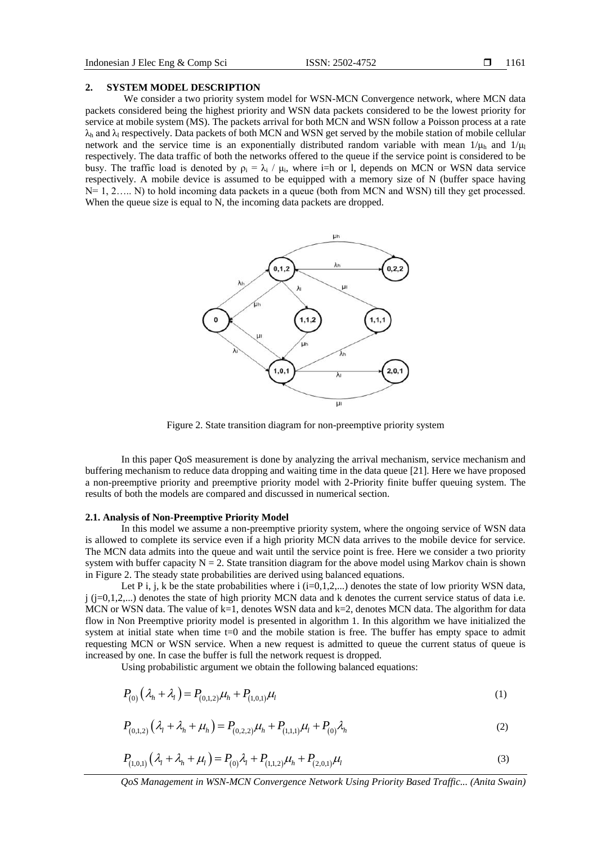#### **2. SYSTEM MODEL DESCRIPTION**

We consider a two priority system model for WSN-MCN Convergence network, where MCN data packets considered being the highest priority and WSN data packets considered to be the lowest priority for service at mobile system (MS). The packets arrival for both MCN and WSN follow a Poisson process at a rate  $\lambda_h$  and  $\lambda_l$  respectively. Data packets of both MCN and WSN get served by the mobile station of mobile cellular network and the service time is an exponentially distributed random variable with mean  $1/\mu$  and  $1/\mu$ respectively. The data traffic of both the networks offered to the queue if the service point is considered to be busy. The traffic load is denoted by  $\rho_i = \lambda_i / \mu_i$ , where i=h or l, depends on MCN or WSN data service respectively. A mobile device is assumed to be equipped with a memory size of N (buffer space having N= 1, 2..... N) to hold incoming data packets in a queue (both from MCN and WSN) till they get processed. When the queue size is equal to N, the incoming data packets are dropped.



Figure 2. State transition diagram for non-preemptive priority system

In this paper QoS measurement is done by analyzing the arrival mechanism, service mechanism and buffering mechanism to reduce data dropping and waiting time in the data queue [21]. Here we have proposed a non-preemptive priority and preemptive priority model with 2-Priority finite buffer queuing system. The results of both the models are compared and discussed in numerical section.

#### **2.1. Analysis of Non-Preemptive Priority Model**

In this model we assume a non-preemptive priority system, where the ongoing service of WSN data is allowed to complete its service even if a high priority MCN data arrives to the mobile device for service. The MCN data admits into the queue and wait until the service point is free. Here we consider a two priority system with buffer capacity  $N = 2$ . State transition diagram for the above model using Markov chain is shown in Figure 2. The steady state probabilities are derived using balanced equations.

Let P i, j, k be the state probabilities where i (i=0,1,2,...) denotes the state of low priority WSN data, j (j=0,1,2,...) denotes the state of high priority MCN data and k denotes the current service status of data i.e. MCN or WSN data. The value of  $k=1$ , denotes WSN data and  $k=2$ , denotes MCN data. The algorithm for data flow in Non Preemptive priority model is presented in algorithm 1. In this algorithm we have initialized the system at initial state when time t=0 and the mobile station is free. The buffer has empty space to admit requesting MCN or WSN service. When a new request is admitted to queue the current status of queue is increased by one. In case the buffer is full the network request is dropped.

Using probabilistic argument we obtain the following balanced equations:

$$
P_{(0)}(\lambda_h + \lambda_l) = P_{(0,1,2)}\mu_h + P_{(1,0,1)}\mu_l
$$
\n(1)

$$
P_{(0,1,2)}(\lambda_1 + \lambda_h + \mu_h) = P_{(0,2,2)}\mu_h + P_{(1,1,1)}\mu_l + P_{(0)}\lambda_h
$$
\n(2)

$$
P_{(1,0,1)}(\lambda_1 + \lambda_2 + \mu_1) = P_{(0)}\lambda_1 + P_{(1,1,2)}\mu_2 + P_{(2,0,1)}\mu_1
$$
\n(3)

*QoS Management in WSN-MCN Convergence Network Using Priority Based Traffic... (Anita Swain)*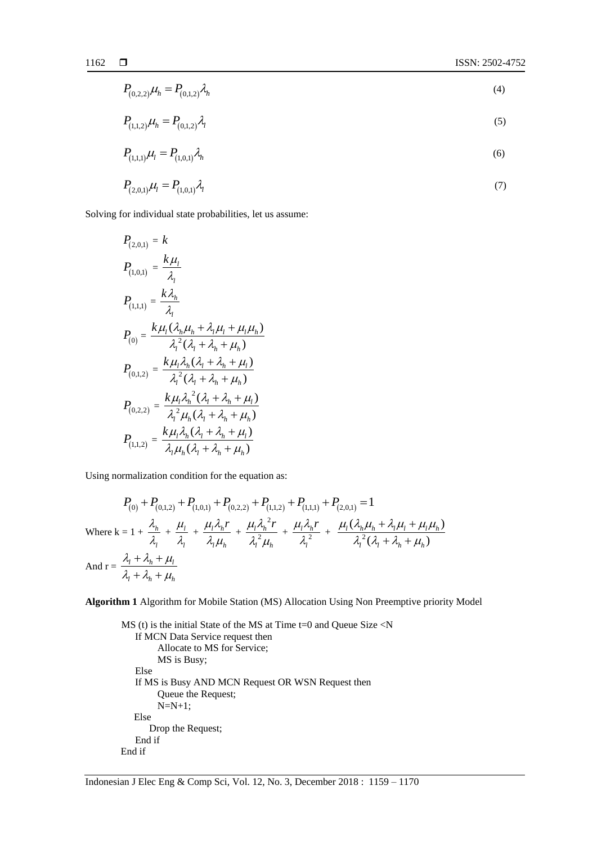$$
P_{(0,2,2)}\mu_h = P_{(0,1,2)}\lambda_h
$$
\n(4)

$$
P_{(1,1,2)}\mu_h = P_{(0,1,2)}\lambda_l
$$
\n<sup>(5)</sup>

$$
P_{(1,1,1)}\mu_1 = P_{(1,0,1)}\lambda_h
$$
 (6)

$$
P_{(2,0,1)}\mu_l = P_{(1,0,1)}\lambda_l
$$
\n(7)

Solving for individual state probabilities, let us assume:

$$
P_{(2,0,1)} = k
$$
  
\n
$$
P_{(1,0,1)} = \frac{k\mu_{l}}{\lambda_{l}}
$$
  
\n
$$
P_{(1,1,1)} = \frac{k\lambda_{h}}{\lambda_{l}}
$$
  
\n
$$
P_{(0)} = \frac{k\mu_{l}(\lambda_{h}\mu_{h} + \lambda_{l}\mu_{l} + \mu_{l}\mu_{h})}{\lambda_{l}^{2}(\lambda_{l} + \lambda_{h} + \mu_{h})}
$$
  
\n
$$
P_{(0,1,2)} = \frac{k\mu_{l}\lambda_{h}(\lambda_{l} + \lambda_{h} + \mu_{l})}{\lambda_{l}^{2}(\lambda_{l} + \lambda_{h} + \mu_{h})}
$$
  
\n
$$
P_{(0,2,2)} = \frac{k\mu_{l}\lambda_{h}^{2}(\lambda_{l} + \lambda_{h} + \mu_{l})}{\lambda_{l}^{2}\mu_{h}(\lambda_{l} + \lambda_{h} + \mu_{h})}
$$
  
\n
$$
P_{(1,1,2)} = \frac{k\mu_{l}\lambda_{h}(\lambda_{l} + \lambda_{h} + \mu_{l})}{\lambda_{l}\mu_{h}(\lambda_{l} + \lambda_{h} + \mu_{h})}
$$

Using normalization condition for the equation as:  
\n
$$
P_{(0)} + P_{(0,1,2)} + P_{(1,0,1)} + P_{(0,2,2)} + P_{(1,1,2)} + P_{(1,1,1)} + P_{(2,0,1)} = 1
$$
\nWhere  $k = 1 + \frac{\lambda_h}{\lambda_l} + \frac{\mu_l}{\lambda_l} + \frac{\mu_l \lambda_h r}{\lambda_l \mu_h} + \frac{\mu_l \lambda_h^2 r}{\lambda_l^2 \mu_h} + \frac{\mu_l \lambda_h r}{\lambda_l^2} + \frac{\mu_l (\lambda_h \mu_h + \lambda_l \mu_l + \mu_l \mu_h)}{\lambda_l^2 (\lambda_l + \lambda_h + \mu_h)}$   
\nAnd  $r = \frac{\lambda_l + \lambda_h + \mu_l}{\lambda_l + \lambda_h + \mu_h}$ 

**Algorithm 1** Algorithm for Mobile Station (MS) Allocation Using Non Preemptive priority Model

```
MS (t) is the initial State of the MS at Time t=0 and Queue Size <N
   If MCN Data Service request then
        Allocate to MS for Service;
        MS is Busy;
   Else
   If MS is Busy AND MCN Request OR WSN Request then
        Queue the Request;
        N=N+1;
    Else
      Drop the Request;
   End if
End if
```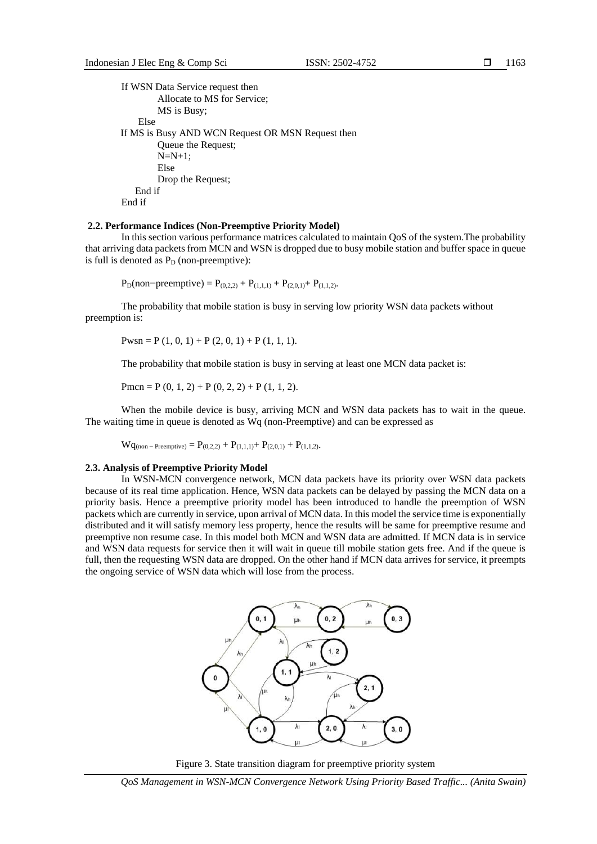1163

```
If WSN Data Service request then
        Allocate to MS for Service;
        MS is Busy;
     Else
 If MS is Busy AND WCN Request OR MSN Request then
        Queue the Request;
        N=N+1;
        Else
        Drop the Request;
   End if
End if
```
#### **2.2. Performance Indices (Non-Preemptive Priority Model)**

In this section various performance matrices calculated to maintain QoS of the system.The probability that arriving data packets from MCN and WSN is dropped due to busy mobile station and buffer space in queue is full is denoted as  $P_D$  (non-preemptive):

 $P_D($ non−preemptive) =  $P_{(0,2,2)} + P_{(1,1,1)} + P_{(2,0,1)} + P_{(1,1,2)}$ .

The probability that mobile station is busy in serving low priority WSN data packets without preemption is:

 $Pwsn = P(1, 0, 1) + P(2, 0, 1) + P(1, 1, 1).$ 

The probability that mobile station is busy in serving at least one MCN data packet is:

Pmcn = P  $(0, 1, 2)$  + P  $(0, 2, 2)$  + P  $(1, 1, 2)$ .

When the mobile device is busy, arriving MCN and WSN data packets has to wait in the queue. The waiting time in queue is denoted as Wq (non-Preemptive) and can be expressed as

 $Wq_{(non-Preenative)} = P_{(0,2,2)} + P_{(1,1,1)} + P_{(2,0,1)} + P_{(1,1,2)}$ .

#### **2.3. Analysis of Preemptive Priority Model**

In WSN-MCN convergence network, MCN data packets have its priority over WSN data packets because of its real time application. Hence, WSN data packets can be delayed by passing the MCN data on a priority basis. Hence a preemptive priority model has been introduced to handle the preemption of WSN packets which are currently in service, upon arrival of MCN data. In this model the service time is exponentially distributed and it will satisfy memory less property, hence the results will be same for preemptive resume and preemptive non resume case. In this model both MCN and WSN data are admitted. If MCN data is in service and WSN data requests for service then it will wait in queue till mobile station gets free. And if the queue is full, then the requesting WSN data are dropped. On the other hand if MCN data arrives for service, it preempts the ongoing service of WSN data which will lose from the process.





*QoS Management in WSN-MCN Convergence Network Using Priority Based Traffic... (Anita Swain)*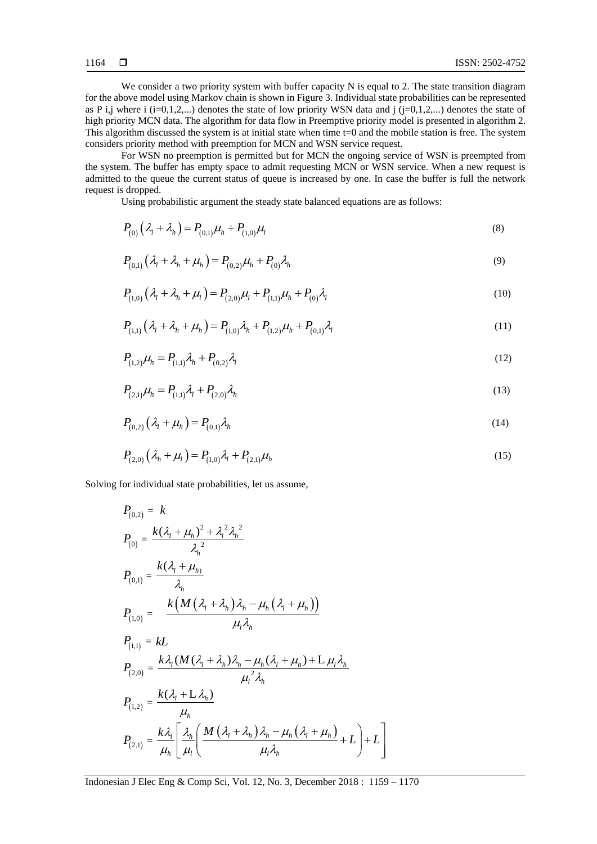We consider a two priority system with buffer capacity N is equal to 2. The state transition diagram for the above model using Markov chain is shown in Figure 3. Individual state probabilities can be represented as P i,j where i  $(i=0,1,2,...)$  denotes the state of low priority WSN data and j  $(i=0,1,2,...)$  denotes the state of high priority MCN data. The algorithm for data flow in Preemptive priority model is presented in algorithm 2. This algorithm discussed the system is at initial state when time t=0 and the mobile station is free. The system considers priority method with preemption for MCN and WSN service request.

For WSN no preemption is permitted but for MCN the ongoing service of WSN is preempted from the system. The buffer has empty space to admit requesting MCN or WSN service. When a new request is admitted to the queue the current status of queue is increased by one. In case the buffer is full the network request is dropped.

Using probabilistic argument the steady state balanced equations are as follows:

$$
P_{(0)}(\lambda_t + \lambda_h) = P_{(0,1)}\mu_h + P_{(1,0)}\mu_l
$$
\n(8)

$$
P_{(0,1)}(\lambda_1 + \lambda_2 + \mu_1) = P_{(0,2)}\mu_1 + P_{(0)}\lambda_2
$$
\n(9)

$$
P_{(1,0)}(\lambda_1 + \lambda_h + \mu_l) = P_{(2,0)}\mu_l + P_{(1,1)}\mu_h + P_{(0)}\lambda_l
$$
\n(10)

$$
P_{(1,1)}(\lambda_1 + \lambda_2 + \mu_1) = P_{(1,0)}\lambda_2 + P_{(1,2)}\mu_2 + P_{(0,1)}\lambda_1
$$
\n(11)

$$
P_{(1,2)}\mu_h = P_{(1,1)}\lambda_h + P_{(0,2)}\lambda_l
$$
\n(12)

$$
P_{(2,1)}\mu_h = P_{(1,1)}\lambda_l + P_{(2,0)}\lambda_h
$$
\n(13)

$$
P_{(0,2)}(\lambda_t + \mu_h) = P_{(0,1)}\lambda_h
$$
 (14)

$$
P_{(2,0)}(\lambda_h + \mu_l) = P_{(1,0)}\lambda_l + P_{(2,1)}\mu_h
$$
\n(15)

Solving for individual state probabilities, let us assume,

$$
P_{(0,2)} = k
$$
\n
$$
P_{(0)} = \frac{k(\lambda_1 + \mu_h)^2 + \lambda_1^2 \lambda_h^2}{\lambda_h^2}
$$
\n
$$
P_{(0,1)} = \frac{k(\lambda_1 + \mu_h)}{\lambda_h}
$$
\n
$$
P_{(1,0)} = \frac{k(M(\lambda_1 + \lambda_h)\lambda_h - \mu_h(\lambda_1 + \mu_h))}{\mu_1 \lambda_h}
$$
\n
$$
P_{(1,1)} = kL
$$
\n
$$
P_{(2,0)} = \frac{k\lambda_1(M(\lambda_1 + \lambda_h)\lambda_h - \mu_h(\lambda_1 + \mu_h) + L\mu_1\lambda_h}{\mu_1^2 \lambda_h}
$$
\n
$$
P_{(1,2)} = \frac{k(\lambda_1 + L\lambda_h)}{\mu_h}
$$
\n
$$
P_{(2,1)} = \frac{k\lambda_1}{\mu_h} \left[ \frac{\lambda_h}{\mu_l} \left( \frac{M(\lambda_1 + \lambda_h)\lambda_h - \mu_h(\lambda_1 + \mu_h)}{\mu_l \lambda_h} + L \right) + L \right]
$$

Indonesian J Elec Eng & Comp Sci, Vol. 12, No. 3, December 2018 : 1159 – 1170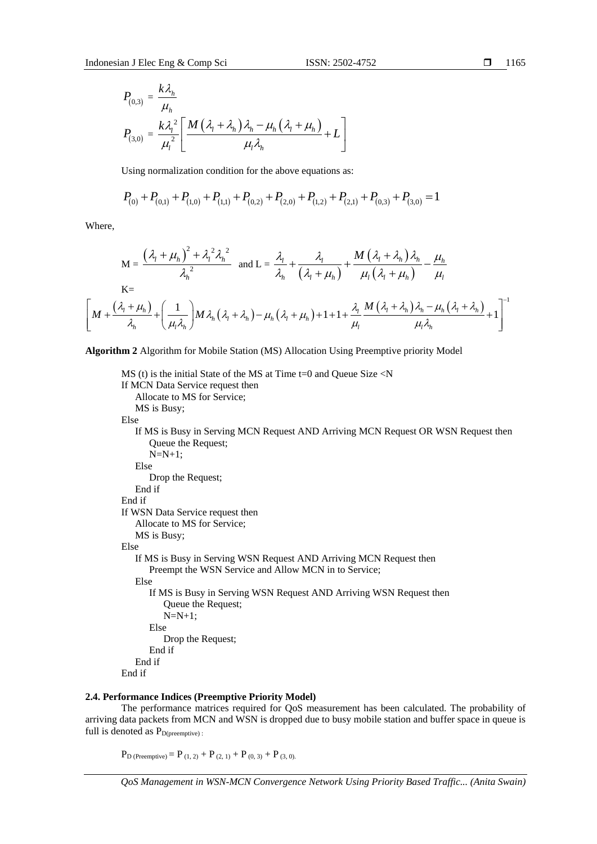*k*

$$
\blacksquare \qquad 1165
$$

$$
P_{(0,3)} = \frac{k\lambda_h}{\mu_h}
$$
  

$$
P_{(3,0)} = \frac{k\lambda_l^2}{\mu_l^2} \left[ \frac{M(\lambda_l + \lambda_h)\lambda_h - \mu_h(\lambda_l + \mu_h)}{\mu_l \lambda_h} + L \right]
$$

Using normalization condition for the above equations as:

Using normalization condition for the above equations as:  
\n
$$
P_{(0)} + P_{(0,1)} + P_{(1,0)} + P_{(1,1)} + P_{(0,2)} + P_{(2,0)} + P_{(1,2)} + P_{(2,1)} + P_{(0,3)} + P_{(3,0)} = 1
$$

Where,

$$
M = \frac{(\lambda_{1} + \mu_{h})^{2} + \lambda_{1}^{2} \lambda_{h}^{2}}{\lambda_{h}^{2}} \text{ and } L = \frac{\lambda_{1}}{\lambda_{h}} + \frac{\lambda_{1}}{(\lambda_{1} + \mu_{h})} + \frac{M(\lambda_{1} + \lambda_{h})\lambda_{h}}{\mu_{1}(\lambda_{1} + \mu_{h})} - \frac{\mu_{h}}{\mu_{1}}
$$
  
\n
$$
K =
$$
  
\n
$$
\left[M + \frac{(\lambda_{1} + \mu_{h})}{\lambda_{h}} + \left(\frac{1}{\mu_{1}\lambda_{h}}\right)M\lambda_{h}(\lambda_{1} + \lambda_{h}) - \mu_{h}(\lambda_{1} + \mu_{h}) + 1 + 1 + \frac{\lambda_{1}}{\mu_{1}}\frac{M(\lambda_{1} + \lambda_{h})\lambda_{h} - \mu_{h}(\lambda_{1} + \lambda_{h})}{\mu_{1}\lambda_{h}} + 1\right]^{-1}
$$

**Algorithm 2** Algorithm for Mobile Station (MS) Allocation Using Preemptive priority Model

```
MS (t) is the initial State of the MS at Time t=0 and Queue Size <N
If MCN Data Service request then
   Allocate to MS for Service;
   MS is Busy;
Else
   If MS is Busy in Serving MCN Request AND Arriving MCN Request OR WSN Request then
      Queue the Request;
      N=N+1;Else
      Drop the Request;
  End if
End if
If WSN Data Service request then
   Allocate to MS for Service;
   MS is Busy;
Else
   If MS is Busy in Serving WSN Request AND Arriving MCN Request then
      Preempt the WSN Service and Allow MCN in to Service;
   Else
      If MS is Busy in Serving WSN Request AND Arriving WSN Request then
         Queue the Request;
         N=N+1;
      Else
         Drop the Request;
      End if
  End if
End if
```
# **2.4. Performance Indices (Preemptive Priority Model)**

The performance matrices required for QoS measurement has been calculated. The probability of arriving data packets from MCN and WSN is dropped due to busy mobile station and buffer space in queue is full is denoted as  $P_{D(preemptive)}$ :

 $P_{\text{D (Preemptive)}} = P_{(1, 2)} + P_{(2, 1)} + P_{(0, 3)} + P_{(3, 0)}$ .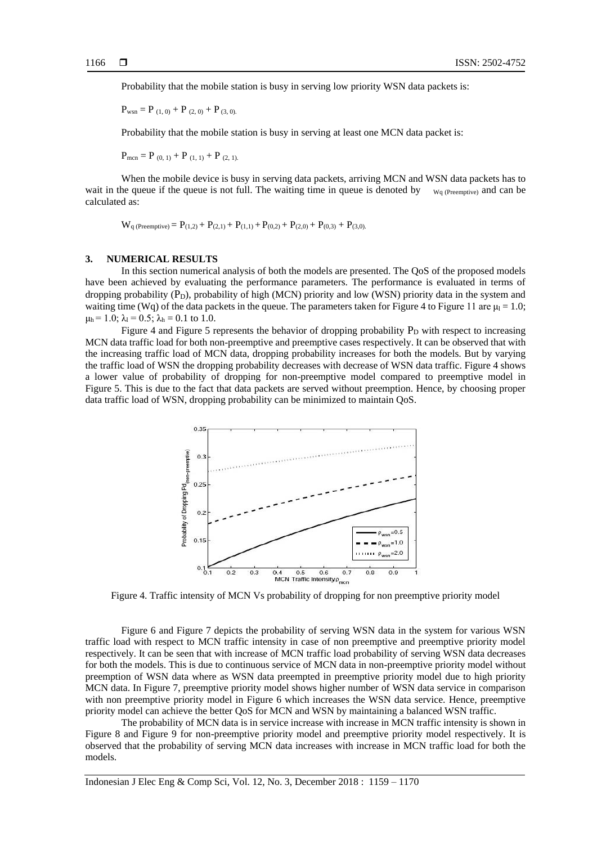Probability that the mobile station is busy in serving low priority WSN data packets is:

$$
P_{wsn} = P_{(1, 0)} + P_{(2, 0)} + P_{(3, 0)}
$$

Probability that the mobile station is busy in serving at least one MCN data packet is:

 $P_{\text{mcn}} = P_{(0, 1)} + P_{(1, 1)} + P_{(2, 1)}$ .

When the mobile device is busy in serving data packets, arriving MCN and WSN data packets has to wait in the queue if the queue is not full. The waiting time in queue is denoted by  $W_q$  (Preemptive) and can be calculated as:

 $W_{q}$  (Preemptive) =  $P_{(1,2)} + P_{(2,1)} + P_{(1,1)} + P_{(0,2)} + P_{(2,0)} + P_{(0,3)} + P_{(3,0)}$ 

#### **3. NUMERICAL RESULTS**

In this section numerical analysis of both the models are presented. The QoS of the proposed models have been achieved by evaluating the performance parameters. The performance is evaluated in terms of dropping probability  $(P_D)$ , probability of high (MCN) priority and low (WSN) priority data in the system and waiting time (Wq) of the data packets in the queue. The parameters taken for Figure 4 to Figure 11 are  $\mu_l = 1.0$ ;  $\mu_h$  = 1.0;  $\lambda_l$  = 0.5;  $\lambda_h$  = 0.1 to 1.0.

Figure 4 and Figure 5 represents the behavior of dropping probability  $P_D$  with respect to increasing MCN data traffic load for both non-preemptive and preemptive cases respectively. It can be observed that with the increasing traffic load of MCN data, dropping probability increases for both the models. But by varying the traffic load of WSN the dropping probability decreases with decrease of WSN data traffic. Figure 4 shows a lower value of probability of dropping for non-preemptive model compared to preemptive model in Figure 5. This is due to the fact that data packets are served without preemption. Hence, by choosing proper data traffic load of WSN, dropping probability can be minimized to maintain QoS.



Figure 4. Traffic intensity of MCN Vs probability of dropping for non preemptive priority model

Figure 6 and Figure 7 depicts the probability of serving WSN data in the system for various WSN traffic load with respect to MCN traffic intensity in case of non preemptive and preemptive priority model respectively. It can be seen that with increase of MCN traffic load probability of serving WSN data decreases for both the models. This is due to continuous service of MCN data in non-preemptive priority model without preemption of WSN data where as WSN data preempted in preemptive priority model due to high priority MCN data. In Figure 7, preemptive priority model shows higher number of WSN data service in comparison with non preemptive priority model in Figure 6 which increases the WSN data service. Hence, preemptive priority model can achieve the better QoS for MCN and WSN by maintaining a balanced WSN traffic.

The probability of MCN data is in service increase with increase in MCN traffic intensity is shown in Figure 8 and Figure 9 for non-preemptive priority model and preemptive priority model respectively. It is observed that the probability of serving MCN data increases with increase in MCN traffic load for both the models.

Indonesian J Elec Eng & Comp Sci, Vol. 12, No. 3, December 2018 : 1159 – 1170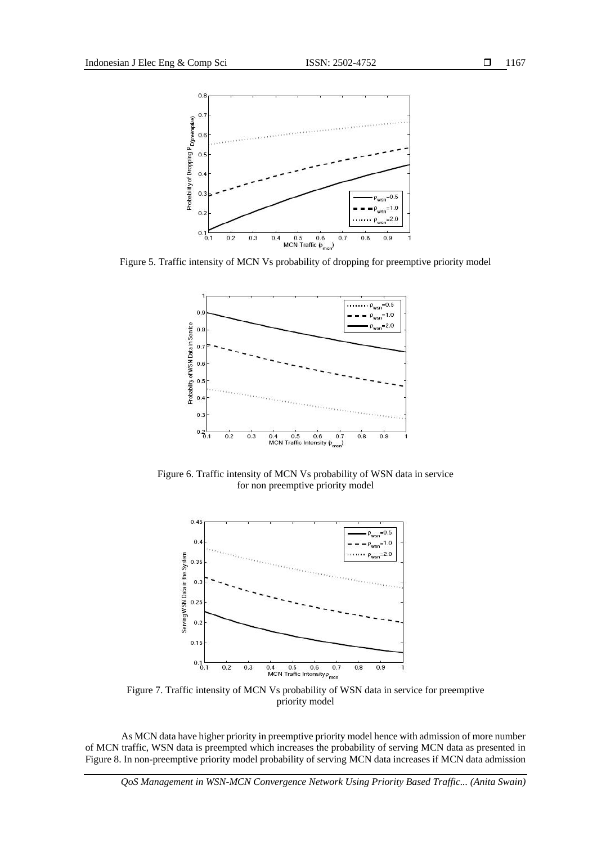

Figure 5. Traffic intensity of MCN Vs probability of dropping for preemptive priority model



Figure 6. Traffic intensity of MCN Vs probability of WSN data in service for non preemptive priority model



Figure 7. Traffic intensity of MCN Vs probability of WSN data in service for preemptive priority model

As MCN data have higher priority in preemptive priority model hence with admission of more number of MCN traffic, WSN data is preempted which increases the probability of serving MCN data as presented in Figure 8. In non-preemptive priority model probability of serving MCN data increases if MCN data admission

*QoS Management in WSN-MCN Convergence Network Using Priority Based Traffic... (Anita Swain)*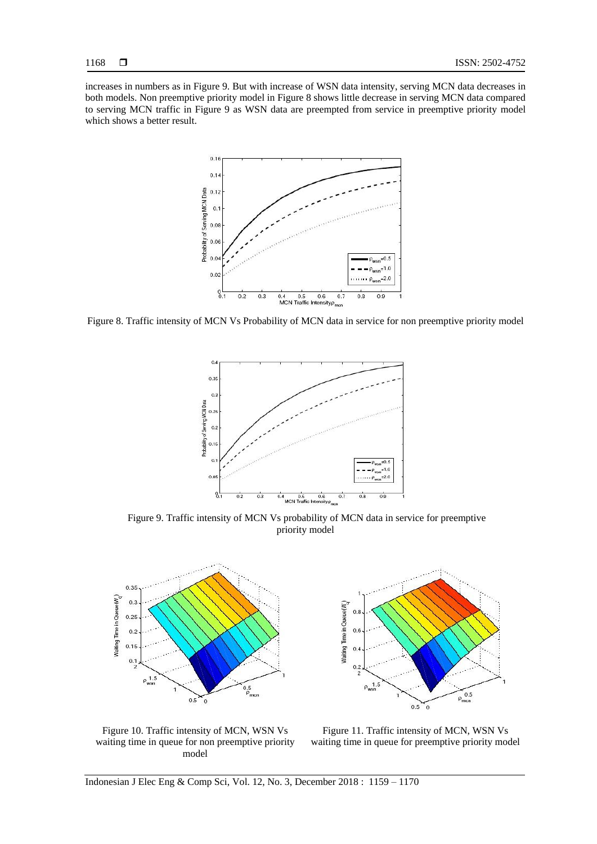increases in numbers as in Figure 9. But with increase of WSN data intensity, serving MCN data decreases in both models. Non preemptive priority model in Figure 8 shows little decrease in serving MCN data compared to serving MCN traffic in Figure 9 as WSN data are preempted from service in preemptive priority model which shows a better result.



Figure 8. Traffic intensity of MCN Vs Probability of MCN data in service for non preemptive priority model



Figure 9. Traffic intensity of MCN Vs probability of MCN data in service for preemptive priority model



Waiting Time in Queue(W)  $0.5$  $0.6$  $0.4$  $0.2$ ź  $\rho_{\text{wsn}}^{-1.5}$  $\rho_{\rm{mcn}}^{0.5}$  $0.5$ م<br>0

Figure 10. Traffic intensity of MCN, WSN Vs waiting time in queue for non preemptive priority model

Figure 11. Traffic intensity of MCN, WSN Vs waiting time in queue for preemptive priority model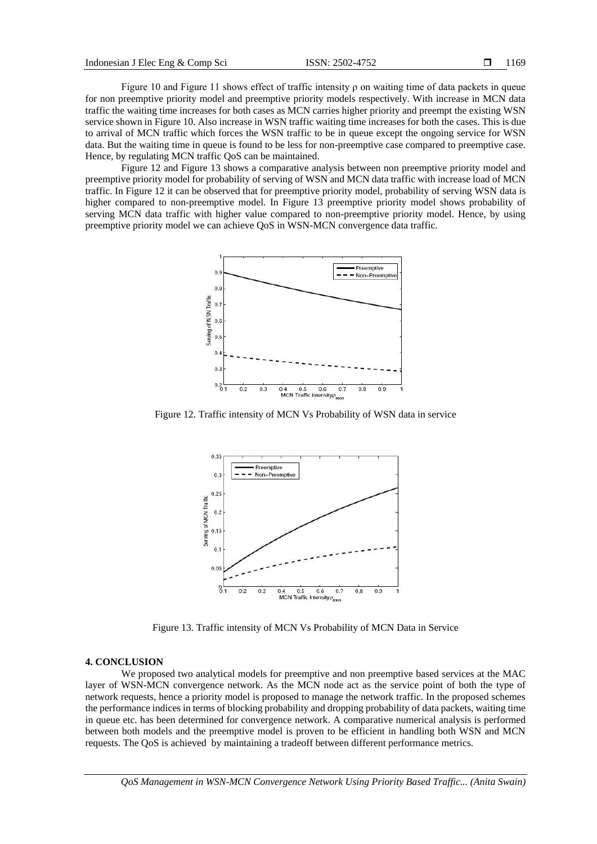Figure 10 and Figure 11 shows effect of traffic intensity  $\rho$  on waiting time of data packets in queue for non preemptive priority model and preemptive priority models respectively. With increase in MCN data traffic the waiting time increases for both cases as MCN carries higher priority and preempt the existing WSN service shown in Figure 10. Also increase in WSN traffic waiting time increases for both the cases. This is due to arrival of MCN traffic which forces the WSN traffic to be in queue except the ongoing service for WSN data. But the waiting time in queue is found to be less for non-preemptive case compared to preemptive case. Hence, by regulating MCN traffic QoS can be maintained.

Figure 12 and Figure 13 shows a comparative analysis between non preemptive priority model and preemptive priority model for probability of serving of WSN and MCN data traffic with increase load of MCN traffic. In Figure 12 it can be observed that for preemptive priority model, probability of serving WSN data is higher compared to non-preemptive model. In Figure 13 preemptive priority model shows probability of serving MCN data traffic with higher value compared to non-preemptive priority model. Hence, by using preemptive priority model we can achieve QoS in WSN-MCN convergence data traffic.



Figure 12. Traffic intensity of MCN Vs Probability of WSN data in service



Figure 13. Traffic intensity of MCN Vs Probability of MCN Data in Service

### **4. CONCLUSION**

We proposed two analytical models for preemptive and non preemptive based services at the MAC layer of WSN-MCN convergence network. As the MCN node act as the service point of both the type of network requests, hence a priority model is proposed to manage the network traffic. In the proposed schemes the performance indices in terms of blocking probability and dropping probability of data packets, waiting time in queue etc. has been determined for convergence network. A comparative numerical analysis is performed between both models and the preemptive model is proven to be efficient in handling both WSN and MCN requests. The QoS is achieved by maintaining a tradeoff between different performance metrics.